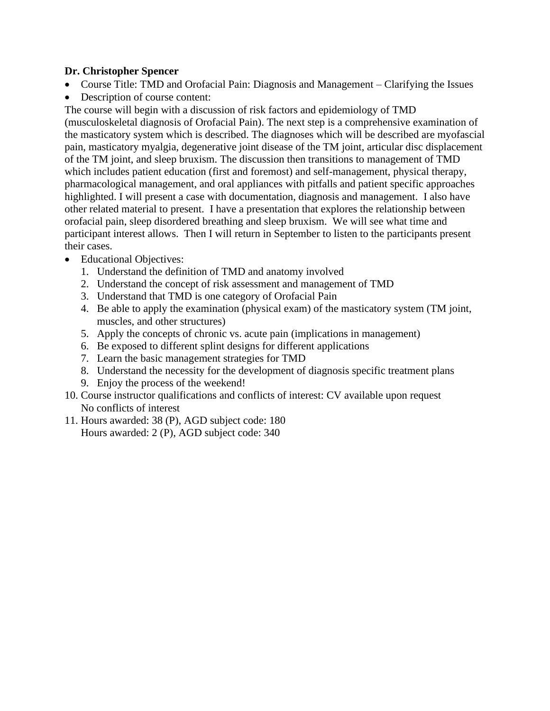## **Dr. Christopher Spencer**

- Course Title: TMD and Orofacial Pain: Diagnosis and Management Clarifying the Issues
- Description of course content:

The course will begin with a discussion of risk factors and epidemiology of TMD (musculoskeletal diagnosis of Orofacial Pain). The next step is a comprehensive examination of the masticatory system which is described. The diagnoses which will be described are myofascial pain, masticatory myalgia, degenerative joint disease of the TM joint, articular disc displacement of the TM joint, and sleep bruxism. The discussion then transitions to management of TMD which includes patient education (first and foremost) and self-management, physical therapy, pharmacological management, and oral appliances with pitfalls and patient specific approaches highlighted. I will present a case with documentation, diagnosis and management. I also have other related material to present. I have a presentation that explores the relationship between orofacial pain, sleep disordered breathing and sleep bruxism. We will see what time and participant interest allows. Then I will return in September to listen to the participants present their cases.

- Educational Objectives:
	- 1. Understand the definition of TMD and anatomy involved
	- 2. Understand the concept of risk assessment and management of TMD
	- 3. Understand that TMD is one category of Orofacial Pain
	- 4. Be able to apply the examination (physical exam) of the masticatory system (TM joint, muscles, and other structures)
	- 5. Apply the concepts of chronic vs. acute pain (implications in management)
	- 6. Be exposed to different splint designs for different applications
	- 7. Learn the basic management strategies for TMD
	- 8. Understand the necessity for the development of diagnosis specific treatment plans
	- 9. Enjoy the process of the weekend!
- 10. Course instructor qualifications and conflicts of interest: CV available upon request No conflicts of interest
- 11. Hours awarded: 38 (P), AGD subject code: 180 Hours awarded: 2 (P), AGD subject code: 340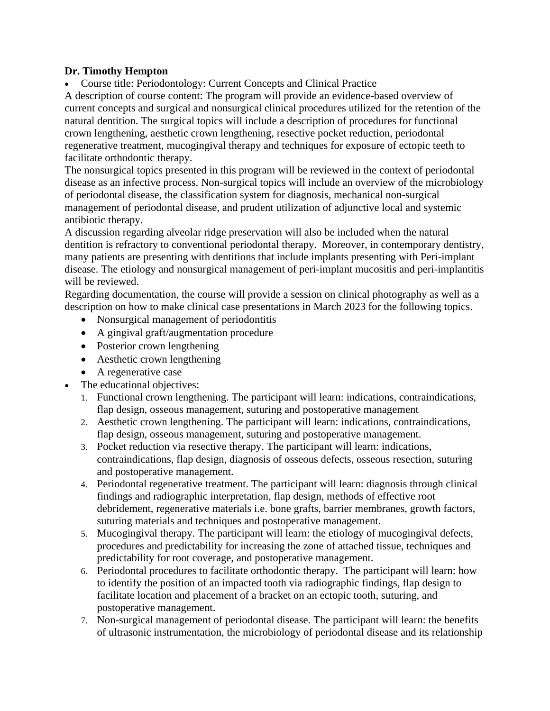## **Dr. Timothy Hempton**

• Course title: Periodontology: Current Concepts and Clinical Practice

A description of course content: The program will provide an evidence-based overview of current concepts and surgical and nonsurgical clinical procedures utilized for the retention of the natural dentition. The surgical topics will include a description of procedures for functional crown lengthening, aesthetic crown lengthening, resective pocket reduction, periodontal regenerative treatment, mucogingival therapy and techniques for exposure of ectopic teeth to facilitate orthodontic therapy.

The nonsurgical topics presented in this program will be reviewed in the context of periodontal disease as an infective process. Non-surgical topics will include an overview of the microbiology of periodontal disease, the classification system for diagnosis, mechanical non-surgical management of periodontal disease, and prudent utilization of adjunctive local and systemic antibiotic therapy.

A discussion regarding alveolar ridge preservation will also be included when the natural dentition is refractory to conventional periodontal therapy. Moreover, in contemporary dentistry, many patients are presenting with dentitions that include implants presenting with Peri-implant disease. The etiology and nonsurgical management of peri-implant mucositis and peri-implantitis will be reviewed.

Regarding documentation, the course will provide a session on clinical photography as well as a description on how to make clinical case presentations in March 2023 for the following topics.

- Nonsurgical management of periodontitis
- A gingival graft/augmentation procedure
- Posterior crown lengthening
- Aesthetic crown lengthening
- A regenerative case
- The educational objectives:
	- 1. Functional crown lengthening. The participant will learn: indications, contraindications, flap design, osseous management, suturing and postoperative management
	- 2. Aesthetic crown lengthening. The participant will learn: indications, contraindications, flap design, osseous management, suturing and postoperative management.
	- 3. Pocket reduction via resective therapy. The participant will learn: indications, contraindications, flap design, diagnosis of osseous defects, osseous resection, suturing and postoperative management.
	- 4. Periodontal regenerative treatment. The participant will learn: diagnosis through clinical findings and radiographic interpretation, flap design, methods of effective root debridement, regenerative materials i.e. bone grafts, barrier membranes, growth factors, suturing materials and techniques and postoperative management.
	- 5. Mucogingival therapy. The participant will learn: the etiology of mucogingival defects, procedures and predictability for increasing the zone of attached tissue, techniques and predictability for root coverage, and postoperative management.
	- 6. Periodontal procedures to facilitate orthodontic therapy. The participant will learn: how to identify the position of an impacted tooth via radiographic findings, flap design to facilitate location and placement of a bracket on an ectopic tooth, suturing, and postoperative management.
	- 7. Non-surgical management of periodontal disease. The participant will learn: the benefits of ultrasonic instrumentation, the microbiology of periodontal disease and its relationship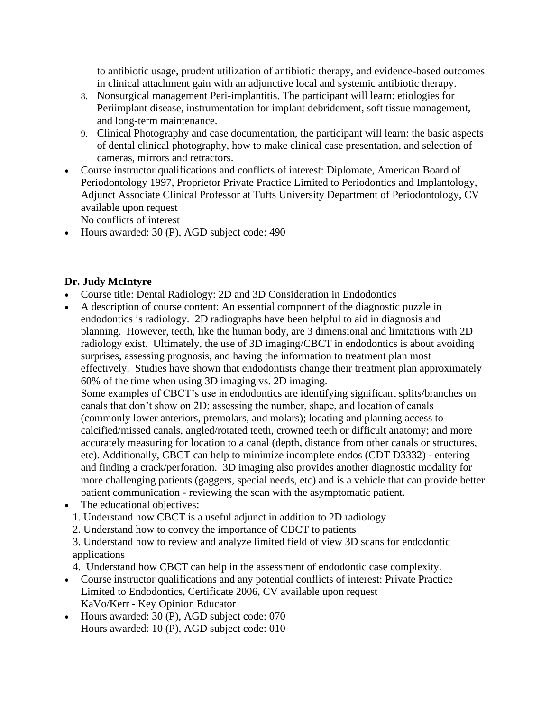to antibiotic usage, prudent utilization of antibiotic therapy, and evidence-based outcomes in clinical attachment gain with an adjunctive local and systemic antibiotic therapy.

- 8. Nonsurgical management Peri-implantitis. The participant will learn: etiologies for Periimplant disease, instrumentation for implant debridement, soft tissue management, and long-term maintenance.
- 9. Clinical Photography and case documentation, the participant will learn: the basic aspects of dental clinical photography, how to make clinical case presentation, and selection of cameras, mirrors and retractors.
- Course instructor qualifications and conflicts of interest: Diplomate, American Board of Periodontology 1997, Proprietor Private Practice Limited to Periodontics and Implantology, Adjunct Associate Clinical Professor at Tufts University Department of Periodontology, CV available upon request

No conflicts of interest

• Hours awarded: 30 (P), AGD subject code: 490

## **Dr. Judy McIntyre**

- Course title: Dental Radiology: 2D and 3D Consideration in Endodontics
- A description of course content: An essential component of the diagnostic puzzle in endodontics is radiology. 2D radiographs have been helpful to aid in diagnosis and planning. However, teeth, like the human body, are 3 dimensional and limitations with 2D radiology exist. Ultimately, the use of 3D imaging/CBCT in endodontics is about avoiding surprises, assessing prognosis, and having the information to treatment plan most effectively. Studies have shown that endodontists change their treatment plan approximately 60% of the time when using 3D imaging vs. 2D imaging.

Some examples of CBCT's use in endodontics are identifying significant splits/branches on canals that don't show on 2D; assessing the number, shape, and location of canals (commonly lower anteriors, premolars, and molars); locating and planning access to calcified/missed canals, angled/rotated teeth, crowned teeth or difficult anatomy; and more accurately measuring for location to a canal (depth, distance from other canals or structures, etc). Additionally, CBCT can help to minimize incomplete endos (CDT D3332) - entering and finding a crack/perforation. 3D imaging also provides another diagnostic modality for more challenging patients (gaggers, special needs, etc) and is a vehicle that can provide better patient communication - reviewing the scan with the asymptomatic patient.

- The educational objectives:
	- 1. Understand how CBCT is a useful adjunct in addition to 2D radiology
	- 2. Understand how to convey the importance of CBCT to patients

3. Understand how to review and analyze limited field of view 3D scans for endodontic applications

- 4. Understand how CBCT can help in the assessment of endodontic case complexity.
- Course instructor qualifications and any potential conflicts of interest: Private Practice Limited to Endodontics, Certificate 2006, CV available upon request KaVo/Kerr - Key Opinion Educator
- Hours awarded: 30 (P), AGD subject code: 070 Hours awarded: 10 (P), AGD subject code: 010